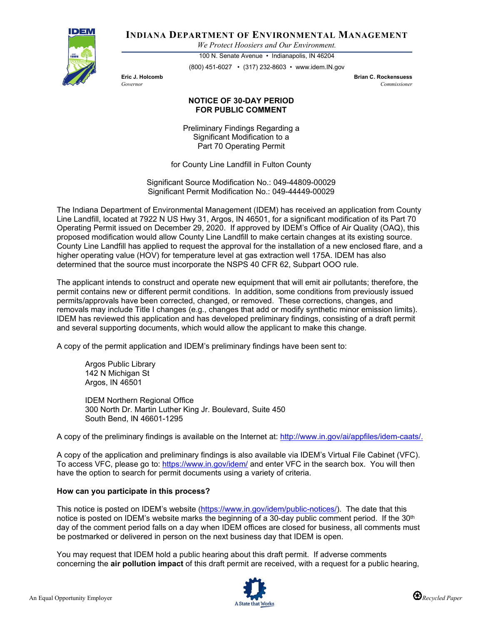

**INDIANA DEPARTMENT OF ENVIRONMENTAL MANAGEMENT**

*We Protect Hoosiers and Our Environment.*

100 N. Senate Avenue • Indianapolis, IN 46204 (800) 451-6027 • (317) 232-8603 • www.idem.IN.gov

**Eric J. Holcomb Brian C. Rockensuess** *Governor Commissioner* 

## **NOTICE OF 30-DAY PERIOD FOR PUBLIC COMMENT**

Preliminary Findings Regarding a Significant Modification to a Part 70 Operating Permit

for County Line Landfill in Fulton County

Significant Source Modification No.: 049-44809-00029 Significant Permit Modification No.: 049-44449-00029

The Indiana Department of Environmental Management (IDEM) has received an application from County Line Landfill, located at 7922 N US Hwy 31, Argos, IN 46501, for a significant modification of its Part 70 Operating Permit issued on December 29, 2020. If approved by IDEM's Office of Air Quality (OAQ), this proposed modification would allow County Line Landfill to make certain changes at its existing source. County Line Landfill has applied to request the approval for the installation of a new enclosed flare, and a higher operating value (HOV) for temperature level at gas extraction well 175A. IDEM has also determined that the source must incorporate the NSPS 40 CFR 62, Subpart OOO rule.

The applicant intends to construct and operate new equipment that will emit air pollutants; therefore, the permit contains new or different permit conditions. In addition, some conditions from previously issued permits/approvals have been corrected, changed, or removed. These corrections, changes, and removals may include Title I changes (e.g., changes that add or modify synthetic minor emission limits). IDEM has reviewed this application and has developed preliminary findings, consisting of a draft permit and several supporting documents, which would allow the applicant to make this change.

A copy of the permit application and IDEM's preliminary findings have been sent to:

Argos Public Library 142 N Michigan St Argos, IN 46501

IDEM Northern Regional Office 300 North Dr. Martin Luther King Jr. Boulevard, Suite 450 South Bend, IN 46601-1295

A copy of the preliminary findings is available on the Internet at: [http://www.in.gov/ai/appfiles/idem-caats/.](http://www.in.gov/ai/appfiles/idem-caats/)

A copy of the application and preliminary findings is also available via IDEM's Virtual File Cabinet (VFC). To access VFC, please go to:<https://www.in.gov/idem/> and enter VFC in the search box. You will then have the option to search for permit documents using a variety of criteria.

## **How can you participate in this process?**

This notice is posted on IDEM's website [\(https://www.in.gov/idem/public-notices/\)](https://www.in.gov/idem/public-notices/). The date that this notice is posted on IDEM's website marks the beginning of a 30-day public comment period. If the 30<sup>th</sup> day of the comment period falls on a day when IDEM offices are closed for business, all comments must be postmarked or delivered in person on the next business day that IDEM is open.

You may request that IDEM hold a public hearing about this draft permit. If adverse comments concerning the **air pollution impact** of this draft permit are received, with a request for a public hearing,